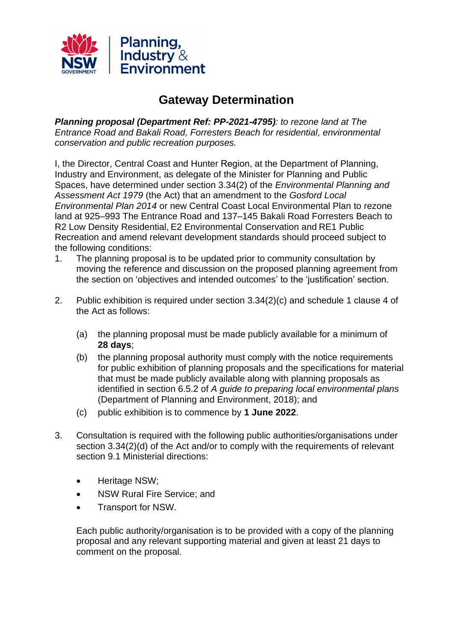

## **Gateway Determination**

*Planning proposal (Department Ref: PP-2021-4795): to rezone land at The Entrance Road and Bakali Road, Forresters Beach for residential, environmental conservation and public recreation purposes.* 

I, the Director, Central Coast and Hunter Region, at the Department of Planning, Industry and Environment, as delegate of the Minister for Planning and Public Spaces, have determined under section 3.34(2) of the *Environmental Planning and Assessment Act 1979* (the Act) that an amendment to the *Gosford Local Environmental Plan 2014* or new Central Coast Local Environmental Plan to rezone land at 925–993 The Entrance Road and 137–145 Bakali Road Forresters Beach to R2 Low Density Residential, E2 Environmental Conservation and RE1 Public Recreation and amend relevant development standards should proceed subject to the following conditions:

- 1. The planning proposal is to be updated prior to community consultation by moving the reference and discussion on the proposed planning agreement from the section on 'objectives and intended outcomes' to the 'justification' section.
- 2. Public exhibition is required under section 3.34(2)(c) and schedule 1 clause 4 of the Act as follows:
	- (a) the planning proposal must be made publicly available for a minimum of **28 days**;
	- (b) the planning proposal authority must comply with the notice requirements for public exhibition of planning proposals and the specifications for material that must be made publicly available along with planning proposals as identified in section 6.5.2 of *A guide to preparing local environmental plans* (Department of Planning and Environment, 2018); and
	- (c) public exhibition is to commence by **1 June 2022**.
- 3. Consultation is required with the following public authorities/organisations under section 3.34(2)(d) of the Act and/or to comply with the requirements of relevant section 9.1 Ministerial directions:
	- Heritage NSW;
	- NSW Rural Fire Service; and
	- Transport for NSW.

Each public authority/organisation is to be provided with a copy of the planning proposal and any relevant supporting material and given at least 21 days to comment on the proposal.